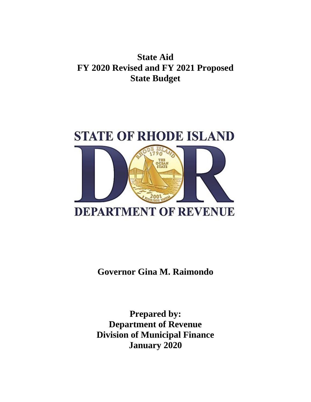# **State Aid FY 2020 Revised and FY 2021 Proposed State Budget**



**Governor Gina M. Raimondo**

**Prepared by: Department of Revenue Division of Municipal Finance January 2020**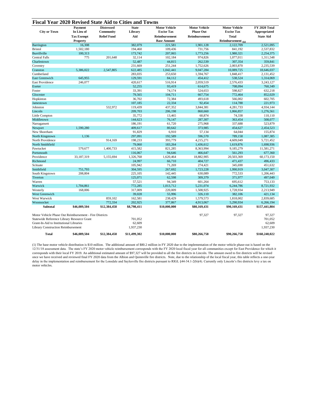## **Fiscal Year 2020 Revised State Aid to Cities and Towns**

|                                                        | <b>Payment</b>                       | <b>Distressed</b>  | <b>State</b> | <b>Motor Vehicle</b>                | <b>Motor Vehicle</b> | <b>Motor Vehicle</b>              | <b>FY 2020 Total</b> |
|--------------------------------------------------------|--------------------------------------|--------------------|--------------|-------------------------------------|----------------------|-----------------------------------|----------------------|
| <b>City or Town</b>                                    | In Lieu of                           | <b>Community</b>   | Library      | <b>Excise Tax</b>                   | <b>Phase Out</b>     | <b>Excise Tax</b>                 | Appropriated         |
|                                                        | <b>Tax Exempt</b><br><b>Property</b> | <b>Relief Fund</b> | Aid          | Reimbursement<br><b>Base Amount</b> | Reimbursement        | <b>Total</b><br>Reimbursement (1) | <b>State Aid</b>     |
| Barrington                                             | 16,308                               |                    | 382,079      | 221,581                             | 1,901,128            | 2,122,709                         | 2,521,095            |
| <b>Bristol</b>                                         | 1,502,180                            |                    | 194,460      | 109,436                             | 731,756              | 841,192                           | 2,537,832            |
| Burrillville                                           | 100,313                              |                    | 173,742      | 207,065                             | 1,773,256            | 1,980,321                         | 2,254,375            |
| <b>Central Falls</b>                                   | 775                                  | 201,648            | 32,114       | 102,184                             | 974,826              | 1,077,011                         | 1,311,548            |
| Charlestown                                            |                                      |                    | 52,487       | 44,815                              | 262,539              | 307,354                           | 359,841              |
| Coventry                                               |                                      |                    | 231,669      | 251,244                             | 1,752,626            | 2,003,870                         | 2,235,539            |
| Cranston                                               | 5,386,022                            | 2,547,805          | 622,485      | 1,042,441                           | 9,047,284            | 10,089,725                        | 18,646,037           |
| Cumberland                                             |                                      |                    | 283,035      | 253,650                             | 1,594,767            | 1,848,417                         |                      |
| <b>East Greenwich</b>                                  |                                      |                    | 129,591      | 84,112                              | 454,412              | 538,524                           | 2,131,452            |
|                                                        | 645,955                              |                    |              |                                     |                      |                                   | 1,314,069            |
| East Providence                                        | 246,077                              |                    | 420,617      | 516,914                             | 2,059,519            | 2,576,433                         | 3,243,127            |
| Exeter                                                 |                                      |                    | 52,255       | 93,419                              | 614,675              | 708,094                           | 760,349              |
| Foster                                                 |                                      |                    | 33,391       | 74,174                              | 524,653              | 598,827                           | 632,218              |
| Glocester                                              |                                      |                    | 79,565       | 104,711                             | 667,754              | 772,464                           | 852,029              |
| Hopkinton                                              |                                      |                    | 36,702       | 72,384                              | 493,618              | 566,002                           | 602,705              |
| Jamestown                                              |                                      |                    | 107,185      | 22,334                              | 92,454               | 114,788                           | 221,973              |
| Johnston                                               |                                      | 532,972            | 119,439      | 437,352                             | 3,844,381            | 4,281,733                         | 4,934,144            |
| Lincoln                                                |                                      |                    | 209,703      | 206,198                             | 860,660              | 1,066,857                         | 1,276,561            |
| Little Compton                                         |                                      |                    | 35,772       | 13,465                              | 60,874               | 74,338                            | 110,110              |
| Middletown                                             |                                      |                    | 144,623      | 76,147                              | 287,307              | 363,454                           | 508,077              |
| Narragansett                                           |                                      |                    | 186,191      | 61,720                              | 275,968              | 337,688                           | 523,879              |
| Newport                                                | 1,590,280                            |                    | 409,617      | 80,642                              | 373,985              | 454,627                           | 2,454,523            |
| New Shoreham                                           |                                      |                    | 91,829       | 6,910                               | 57,134               | 64,044                            | 155,874              |
| North Kingstown                                        | 1,136                                |                    | 297,091      | 192,589                             | 596,570              | 789,158                           | 1,087,385            |
| North Providence                                       |                                      | 914,169            | 198,233      | 393,779                             | 4,215,271            | 4,609,049                         | 5,721,452            |
| North Smithfield                                       |                                      |                    | 79,060       | 183,264                             | 1,436,612            | 1,619,876                         | 1,698,936            |
| Pawtucket                                              | 579,677                              | 1,400,733          | 415,582      | 821,285                             | 8,363,994            | 9,185,279                         | 11,581,271           |
| Portsmouth                                             |                                      |                    | 116,067      | 94,646                              | 466,647              | 561,293                           | 677,360              |
| Providence                                             | 33,187,319                           | 5,155,694          | 1,326,768    | 1,620,464                           | 18,882,905           | 20,503,369                        | 60,173,150           |
| Richmond                                               |                                      |                    | 24,997       | 66,710                              | 404,727              | 471,437                           | 496,433              |
| Scituate                                               |                                      |                    | 105,942      | 71,269                              | 274,421              | 345,690                           | 451,632              |
| Smithfield                                             | 751,793                              |                    | 304,595      | 267,692                             | 1,723,228            | 1,990,919                         | 3,047,307            |
| South Kingstown                                        | 208,804                              |                    | 225,105      | 142,445                             | 630,089              | 772,533                           | 1,206,443            |
| Tiverton                                               |                                      |                    | 125,071      | 62,598                              | 309,379              | 371,977                           | 497,049              |
| Warren                                                 |                                      |                    | 57,521       | 94,349                              | 601,264              | 695,612                           | 753,133              |
| Warwick                                                | 1,704,861                            |                    | 772,285      | 1,013,712                           | 5,231,074            | 6,244,786                         | 8,721,932            |
| Westerly                                               | 168,006                              |                    | 317,009      | 220,009                             | 1,508,925            | 1,728,934                         | 2,213,949            |
| West Greenwich                                         |                                      |                    | 39,028       | 55,996                              | 326,110              | 382,106                           | 421,134              |
| West Warwick                                           |                                      | 859,102            | 162,581      | 238,429                             | 1,579,573            | 1,818,002                         | 2,839,685            |
| Woonsocket                                             |                                      | 772,334            | 202,925      | 377,867                             | 4,913,067            | 5,290,934                         | 6,266,194            |
| <b>Subtotal</b>                                        | \$46,089,504                         | \$12,384,458       | \$8,798,411  | \$10,000,000                        | \$80,169,431         | \$90,169,431                      | \$157,441,804        |
| Motor Vehicle Phase Out Reimbursement - Fire Districts |                                      |                    |              |                                     | 97,327               | 97,327                            | 97,327               |
| Statewide Reference Library Resource Grant             |                                      |                    | 701,052      |                                     |                      |                                   | 701,052              |
| Grant-In-Aid to Institutional Libraries                |                                      |                    | 62,609       |                                     |                      |                                   | 62,609               |
| <b>Library Construction Reimbursement</b>              |                                      |                    | 1,937,230    |                                     |                      |                                   | 1,937,230            |
| <b>Total</b>                                           | \$46,089,504                         | \$12,384,458       | \$11,499,302 | \$10,000,000                        | \$80,266,758         | \$90,266,758                      | \$160,240,022        |

(1) The base motor vehicle distribution is \$10 million. The additional amount of \$80.2 million in FY 2020 due to the implementation of the motor vehicle phase-out is based on the 12/31/18 assessment data. The state's FY 2020 motor vehicle reimbursement corresponds with the FY 2020 local fiscal year for all communities except for East Providence for which it corresponds with their local FY 2019. An additional estimated amount of \$97,327 will be provided to all the fire districts in Lincoln. The amount owed to fire districts will be revised once we have received and reviewed final FY 2020 data from the Albion and Quinnville fire districts. Note, due to the relationship of the local fiscal year, this table reflects a one-year delay in the implementation and reimbursement for the Lonsdale and Saylesville fire districts pursuant to RIGL §44-34.1-2(b)(4). Currently only Lincoln's fire districts levy a tax on motor vehicles.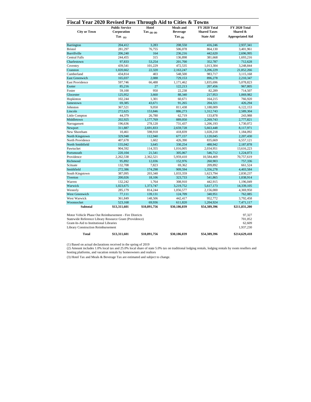## **Fiscal Year 2020 Revised Pass Through Aid to Cities & Towns**

|                                                                                      | <b>Public Service</b> | <b>Hotel</b>    | Meals and       | FY 2020 Total       | <b>FY 2020 Total</b>    |
|--------------------------------------------------------------------------------------|-----------------------|-----------------|-----------------|---------------------|-------------------------|
| <b>City or Town</b>                                                                  | Corporation           | Tax $(2)$ $(3)$ | <b>Beverage</b> | <b>Shared Taxes</b> | Shared &                |
|                                                                                      | Tax $(1)$             |                 | Tax $(3)$       | <b>State Aid</b>    | <b>Appropriated Aid</b> |
| Barrington                                                                           | 204,412               | 3,283           | 208,550         | 416,246             | 2,937,341               |
| <b>Bristol</b>                                                                       | 281,297               | 76,755          | 506,078         | 864,130             | 3,401,961               |
| Burrillville                                                                         | 206,240               | 164             | 236,216         | 442,620             | 2,696,995               |
| <b>Central Falls</b>                                                                 | 244,455               | 315             | 136,898         | 381,668             | 1,693,216               |
| Charlestown                                                                          | 97,833                | 53,254          | 201,700         | 352,787             | 712,628                 |
| Coventry                                                                             | 439,541               | 101,229         | 472,535         | 1,013,304           | 3,248,844               |
| Cranston                                                                             | 1,020,662             | 22,320          | 2,163,247       | 3,206,229           | 21,852,266              |
| Cumberland                                                                           | 434,814               | 403             | 548,500         | 983,717             | 3,115,168               |
| <b>East Greenwich</b>                                                                | 165,037               | 2,088           | 729,153         | 896,278             | 2,210,347               |
| <b>East Providence</b>                                                               | 597,746               | 66,488          | 1,171,462       | 1,835,696           | 5,078,823               |
| Exeter                                                                               | 85,216                | 27              | 122,213         | 207,456             | 967,805                 |
| Foster                                                                               | 59,100                | 950             | 22,238          | 82,289              | 714,507                 |
| Glocester                                                                            | 125,952               | 3,660           | 88,340          | 217,953             | 1,069,982               |
| Hopkinton                                                                            | 102,244               | 1,301           | 60,671          | 164,215             | 766,920                 |
| Jamestown                                                                            | 69,385                | 43,671          | 91,265          | 204,321             | 426,294                 |
| Johnston                                                                             | 367,521               | 9,050           | 811,438         | 1,188,009           | 6,122,153               |
| Lincoln                                                                              | 272,625               | 153,846         | 886,273         | 1,312,743           | 2,589,304               |
| Little Compton                                                                       | 44,379                | 26,780          | 62,719          | 133,878             | 243,988                 |
| Middletown                                                                           | 202,925               | 1,177,769       | 889,050         | 2,269,743           | 2,777,821               |
| Narragansett                                                                         | 196,636               | 278,120         | 731,437         | 1,206,193           | 1,730,072               |
| Newport                                                                              | 311,887               | 2,691,833       | 2,659,728       | 5,663,448           | 8,117,971               |
| New Shoreham                                                                         | 10,461                | 598,918         | 418,839         | 1,028,218           | 1,184,092               |
| North Kingstown                                                                      | 329,948               | 112,940         | 677,157         | 1,120,045           | 2,207,430               |
| North Providence                                                                     | 407,678               | 1,602           | 426,390         | 835,669             | 6,557,121               |
| North Smithfield                                                                     | 155,042               | 3,645           | 330,254         | 488,942             | 2,187,878               |
| Pawtucket                                                                            | 904,592               | 114,355         | 1,016,005       | 2,034,951           | 13,616,223              |
| Portsmouth                                                                           | 220,104               | 21,541          | 305,067         | 546,712             | 1,224,073               |
| Providence                                                                           | 2,262,538             | 2,362,521       | 5,959,410       | 10,584,469          | 70,757,619              |
| Richmond                                                                             | 95,892                | 12,036          | 152,976         | 260,903             | 757,336                 |
| Scituate                                                                             | 132,708               | 7,823           | 69,362          | 209,892             | 661,524                 |
| Smithfield                                                                           | 272,386               | 174,298         | 909,594         | 1,356,278           | 4,403,584               |
| South Kingstown                                                                      | 387,095               | 203,340         | 1,033,359       | 1,623,794           | 2,830,237               |
| Tiverton                                                                             | 200,026               | 18,106          | 323,733         | 541,865             | 1,038,914               |
| Warren                                                                               | 132,242               | 1,764           | 308,910         | 442,915             | 1,196,049               |
| Warwick                                                                              | 1,023,675             | 1,373,747       | 3,219,752       | 5,617,173           | 14,339,105              |
| Westerly                                                                             | 285,179               | 814,244         | 1,056,577       | 2,156,000           | 4,369,950               |
| West Greenwich                                                                       | 77,111                | 139,131         | 124,709         | 340,951             | 762,085                 |
| West Warwick                                                                         | 361,849               | 148,506         | 442,417         | 952,772             | 3,792,458               |
| Woonsocket                                                                           | 523,168               | 69,936          | 611,820         | 1,204,924           | 7,471,117               |
| <b>Subtotal</b>                                                                      | \$13,311,601          | \$10,891,756    | \$30,186,039    | \$54,389,396        | \$211,831,200           |
|                                                                                      |                       |                 |                 |                     |                         |
| Motor Vehicle Phase Out Reimbursement - Fire Districts                               |                       |                 | 97,327          |                     |                         |
| Statewide Reference Library Resource Grant (Providence)                              |                       |                 |                 |                     | 701,052                 |
| Grant-In-Aid to Institutional Libraries<br><b>Library Construction Reimbursement</b> |                       |                 |                 |                     | 62,609<br>1,937,230     |
|                                                                                      |                       |                 |                 |                     |                         |
| <b>Total</b>                                                                         | \$13,311,601          | \$10,891,756    | \$30,186,039    | \$54,389,396        | \$214,629,418           |

(3) Hotel Tax and Meals & Beverage Tax are estimated and subject to change.

(1) Based on actual declarations received in the spring of 2019

(2) Amount includes 1.0% local tax and 25.0% local share of state 5.0% tax on traditional lodging rentals, lodging rentals by room resellers and hosting platforms, and vacation rentals by homeowners and realtors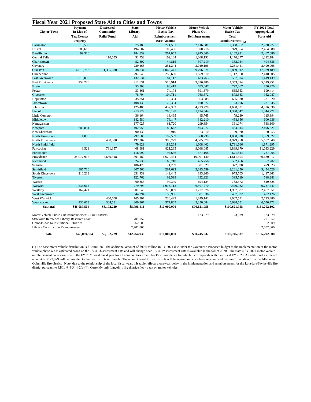| <b>City or Town</b>                                    | <b>Payment</b><br>In Lieu of         | <b>Distressed</b><br><b>Community</b> | <b>State</b><br>Library | <b>Motor Vehicle</b><br><b>Excise Tax</b> | <b>Motor Vehicle</b><br><b>Phase Out</b> | <b>Motor Vehicle</b><br><b>Excise Tax</b> | <b>FY 2021 Total</b><br><b>Appropriated</b> |
|--------------------------------------------------------|--------------------------------------|---------------------------------------|-------------------------|-------------------------------------------|------------------------------------------|-------------------------------------------|---------------------------------------------|
|                                                        |                                      |                                       |                         |                                           |                                          |                                           |                                             |
|                                                        | <b>Tax Exempt</b><br><b>Property</b> | <b>Relief Fund</b>                    | Aid                     | Reimbursement<br><b>Base Amount</b>       | Reimbursement                            | <b>Total</b><br>Reimbursement $(1)$       | <b>State Aid</b>                            |
| Barrington                                             | 16,530                               |                                       | 375,185                 | 221,581                                   | 2,116,981                                | 2,338,562                                 | 2,730,277                                   |
| <b>Bristol</b>                                         | 1,280,619                            |                                       | 194,607                 | 109,436                                   | 870,218                                  | 979,654                                   | 2,454,880                                   |
| Burrillville                                           | 99,316                               |                                       | 184,839                 | 207,065                                   | 1,975,866                                | 2,182,931                                 | 2,467,086                                   |
| <b>Central Falls</b>                                   |                                      | 110,055                               | 31,752                  | 102,184                                   | 1,068,193                                | 1,170,377                                 | 1,312,184                                   |
| Charlestown                                            |                                      |                                       | 52,802                  | 44,815                                    | 307,219                                  | 352,034                                   | 404,836                                     |
| Coventry                                               |                                      |                                       | 229,468                 | 251,244                                   | 2,010,196                                | 2,261,441                                 | 2,490,908                                   |
| Cranston                                               | 4,815,713                            | 1,335,630                             | 638,834                 | 1,042,441                                 | 9,796,571                                | 10,839,012                                | 17,629,189                                  |
| Cumberland                                             |                                      |                                       | 297,545                 | 253,650                                   | 1,859,310                                | 2,112,960                                 | 2,410,505                                   |
| <b>East Greenwich</b>                                  | 719,030                              |                                       | 132,534                 | 84,112                                    | 483,763                                  | 567,874                                   | 1,419,439                                   |
| East Providence                                        | 254,226                              |                                       | 411,631                 | 516,914                                   | 3,836,480                                | 4,353,394                                 | 5,019,251                                   |
| Exeter                                                 |                                      |                                       | 53,203                  | 93,419                                    | 703,647                                  | 797,067                                   | 850,270                                     |
| Foster                                                 |                                      |                                       | 33,861                  | 74,174                                    | 591,379                                  | 665,553                                   | 699,414                                     |
| Glocester                                              |                                      |                                       | 78,704                  | 104,711                                   | 768,672                                  | 873,383                                   | 952,087                                     |
| Hopkinton                                              |                                      |                                       | 35,851                  | 72,384                                    | 563,585                                  | 635,970                                   | 671,820                                     |
| Jamestown                                              |                                      |                                       | 108,139                 | 22,334                                    | 100,872                                  | 123,206                                   | 231,345                                     |
| Johnston                                               |                                      |                                       | 125,400                 | 437,352                                   | 4,223,278                                | 4,660,631                                 | 4,786,030                                   |
| Lincoln                                                |                                      |                                       | 213,729                 | 206,198                                   | 1,124,344                                | 1,330,542                                 | 1,544,271                                   |
| Little Compton                                         |                                      |                                       | 36,164                  | 13,465                                    | 65,765                                   | 79,230                                    | 115,394                                     |
| Middletown                                             |                                      |                                       | 142,580                 | 76,147                                    | 382,210                                  | 458,356                                   | 600,936                                     |
| Narragansett                                           |                                      |                                       | 177,025                 | 61,720                                    | 299,354                                  | 361,074                                   | 538,100                                     |
| Newport                                                | 1,609,854                            |                                       | 402,053                 | 80,642                                    | 403,972                                  | 484,614                                   | 2,496,521                                   |
| New Shoreham                                           |                                      |                                       | 90,133                  | 6,910                                     | 63,010                                   | 69,920                                    | 160,053                                     |
|                                                        |                                      |                                       | 297,608                 | 192,589                                   | 868,239                                  |                                           |                                             |
| North Kingstown<br>North Providence                    | 1,086                                |                                       |                         |                                           |                                          | 1,060,828                                 | 1,359,522                                   |
|                                                        |                                      | 480,580                               | 197,202                 | 393,779                                   | 4,585,979                                | 4,979,758                                 | 5,657,540                                   |
| North Smithfield                                       |                                      |                                       | 79,629                  | 183,264                                   | 1,608,402                                | 1,791,666                                 | 1,871,295                                   |
| Pawtucket                                              | 3,521                                | 731,357                               | 408,981                 | 821,285                                   | 9,068,085                                | 9,889,370                                 | 11,033,229                                  |
| Portsmouth                                             |                                      |                                       | 116,092                 | 94,646                                    | 577,168                                  | 671,814                                   | 787,905                                     |
| Providence                                             | 34,077,915                           | 2,689,318                             | 1,301,180               | 1,620,464                                 | 19,991,140                               | 21,611,604                                | 59,680,017                                  |
| Richmond                                               |                                      |                                       | 24,736                  | 66,710                                    | 465,756                                  | 532,466                                   | 557,202                                     |
| Scituate                                               |                                      |                                       | 106,425                 | 71,269                                    | 301,629                                  | 372,898                                   | 479,323                                     |
| Smithfield                                             | 865,716                              |                                       | 307,560                 | 267,692                                   | 2,013,559                                | 2,281,250                                 | 3,454,526                                   |
| South Kingstown                                        | 210,219                              |                                       | 231,439                 | 142,445                                   | 833,260                                  | 975,705                                   | 1,417,363                                   |
| Tiverton                                               |                                      |                                       | 122,762                 | 62,598                                    | 332,921                                  | 395,519                                   | 518,281                                     |
| Warren                                                 |                                      |                                       | 60,853                  | 94,349                                    | 694,124                                  | 788,472                                   | 849,325                                     |
| Warwick                                                | 1,536,665                            |                                       | 779,794                 | 1,013,712                                 | 6,407,270                                | 7,420,982                                 | 9,737,441                                   |
| Westerly                                               | 162,421                              |                                       | 307,643                 | 220,009                                   | 1,777,878                                | 1,997,887                                 | 2,467,951                                   |
| West Greenwich                                         |                                      |                                       | 44,294                  | 55,996                                    | 381,836                                  | 437,832                                   | 482,126                                     |
| West Warwick                                           |                                      | 460,708                               | 165,207                 | 238,429                                   | 1,849,142                                | 2,087,571                                 | 2,713,486                                   |
| Woonsocket                                             | 436,673                              | 384,581                               | 200,967                 | 377,867                                   | 5,250,684                                | 5,628,551                                 | 6,650,771                                   |
| <b>Subtotal</b>                                        | \$46,089,504                         | \$6,192,229                           | \$8,798,411             | \$10,000,000                              | \$90,621,958                             | \$100,621,958                             | \$161,702,102                               |
| Motor Vehicle Phase Out Reimbursement - Fire Districts |                                      |                                       |                         |                                           | 123,979                                  | 123,979                                   | 123,979                                     |
| Statewide Reference Library Resource Grant             |                                      |                                       | 701,052                 |                                           |                                          |                                           | 701,052                                     |
| Grant-In-Aid to Institutional Libraries                |                                      |                                       | 62,609                  |                                           |                                          |                                           | 62,609                                      |
| <b>Library Construction Reimbursement</b>              |                                      |                                       | 2,702,866               |                                           |                                          |                                           | 2,702,866                                   |
| <b>Total</b>                                           | \$46,089,504                         | \$6,192,229                           | \$12,264,938            | \$10,000,000                              | \$90,745,937                             | \$100,745,937                             | \$165,292,608                               |

(1) The base motor vehicle distribution is \$10 million. The additional amount of \$90.6 million in FY 2021 due under the Governor's Proposed budget to the implementation of the motor vehicle phase-out is estimated based on the 12/31/18 assessment data and will change once 12/31/19 assessment data is available in the fall of 2020. The state's FY 2021 motor vehicle reimbursement corresponds with the FY 2021 local fiscal year for all communities except for East Providence for which it corresponds with their local FY 2020. An additional estimated amount of \$123,979 will be provided to the fire districts in Lincoln. The amount owed to fire districts will be revised once we have received and reviewed final data from the Albion and Quinnville fire district. Note, due to the relationship of the local fiscal year, this table reflects a one-year delay in the implementation and reimbursement for the Lonsdale/Saylesville fire district pursuant to RIGL §44-34.1-2(b)(4). Currently only Lincoln's fire districts levy a tax on motor vehicles.

## **Fiscal Year 2021 Proposed State Aid to Cities and Towns**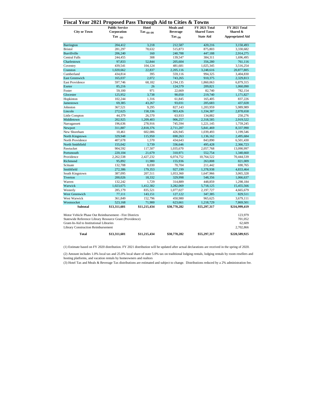## **Fiscal Year 2021 Proposed Pass Through Aid to Cities & Towns**

|                                                                   | <b>Public Service</b> | Hotel           | Meals and       | <b>FY 2021 Total</b> | <b>FY 2021 Total</b>    |  |
|-------------------------------------------------------------------|-----------------------|-----------------|-----------------|----------------------|-------------------------|--|
| <b>City or Town</b>                                               | Corporation           | Tax $(2)$ $(3)$ | <b>Beverage</b> | <b>Shared Taxes</b>  | Shared &                |  |
|                                                                   | Tax $(1)$             |                 | Tax $_{(3)}$    | <b>State Aid</b>     | <b>Appropriated Aid</b> |  |
| <b>Barrington</b>                                                 | 204,412               | 3,218           | 212,587         | 420,216              | 3,150,493               |  |
| <b>Bristol</b>                                                    | 281,297               | 78,632          | 515,873         | 875,803              | 3,330,682               |  |
| Burrillville                                                      | 206,240               | 160             | 240,788         | 447,188              | 2,914,275               |  |
| <b>Central Falls</b>                                              | 244,455               | 308             | 139,547         | 384,311              | 1,696,495               |  |
| Charlestown                                                       | 97,833                | 52,844          | 205,604         | 356,280              | 761,116                 |  |
| Coventry                                                          | 439,541               | 104,124         | 481,681         | 1,025,345            | 3,516,254               |  |
| Cranston                                                          | 1,020,662             | 22,837          | 2,205,116       | 3,248,616            | 20,877,805              |  |
| Cumberland                                                        | 434,814               | 395             | 559,116         | 994,325              | 3,404,830               |  |
| <b>East Greenwich</b>                                             | 165,037               | 2,072           | 743,265         | 910,375              | 2,329,813               |  |
| <b>East Providence</b>                                            | 597,746               | 68,182          | 1,194,135       | 1,860,063            | 6,879,315               |  |
| Exeter                                                            | 85,216                | 26              | 124,579         | 209,821              | 1,060,090               |  |
| Foster                                                            | 59,100                | 971             | 22,669          | 82,740               | 782,154                 |  |
| Glocester                                                         | 125,952               | 3,738           | 90,050          | 219,740              | 1,171,827               |  |
| Hopkinton                                                         | 102,244               | 1,316           | 61,845          | 165,405              | 837,226                 |  |
| Jamestown                                                         | 69,385                | 43,267          | 93,031          | 205,683              | 437,028                 |  |
| Johnston                                                          | 367,521               | 9,295           | 827,143         | 1,203,959            | 5,989,989               |  |
| Lincoln                                                           | 272,625               | 158,336         | 903,426         | 1,334,387            | 2,878,658               |  |
| Little Compton                                                    | 44,379                | 26,570          | 63,933          | 134,882              | 250,276                 |  |
| Middletown                                                        | 202,925               | 1,209,403       | 906,257         | 2,318,585            | 2,919,522               |  |
| Narragansett                                                      | 196,636               | 278,916         | 745,594         | 1,221,145            | 1,759,245               |  |
| Newport                                                           | 311,887               | 2,818,376       | 2,711,207       | 5,841,469            | 8,337,990               |  |
| New Shoreham                                                      | 10,461                | 602,086         | 426,945         | 1,039,493            | 1,199,546               |  |
| North Kingstown                                                   | 329,948               | 115,950         | 690,263         | 1,136,162            | 2,495,684               |  |
| North Providence                                                  | 407,678               | 1,570           | 434,643         | 843,890              | 6,501,430               |  |
| North Smithfield                                                  | 155,042               | 3,739           | 336,646         | 495,428              | 2,366,723               |  |
| Pawtucket                                                         | 904,592               | 117,507         | 1,035,670       | 2,057,768            | 13,090,997              |  |
| Portsmouth                                                        | 220,104               | 21,679          | 310,971         | 552,754              | 1,340,660               |  |
| Providence                                                        | 2,262,538             | 2,427,232       | 6,074,752       | 10,764,522           | 70,444,539              |  |
| Richmond                                                          | 95,892                | 11,980          | 155,936         | 263,808              | 821,009                 |  |
| Scituate                                                          | 132,708               | 8,030           | 70,704          | 211,442              | 690,765                 |  |
| Smithfield                                                        | 272,386               | 179,353         | 927,199         | 1,378,938            | 4,833,464               |  |
| South Kingstown                                                   | 387,095               | 207,511         | 1,053,360       | 1,647,966            | 3,065,328               |  |
| Tiverton                                                          | 200,026               | 18,332          | 329,998         | 548,356              | 1,066,637               |  |
| Warren                                                            | 132,242               | 1,729           | 314,889         | 448,859              | 1,298,184               |  |
| Warwick                                                           | 1,023,675             | 1,412,382       | 3,282,069       | 5,718,125            | 15,455,566              |  |
| Westerly                                                          | 285,179               | 835,521         | 1,077,027       | 2,197,727            | 4,665,679               |  |
| West Greenwich                                                    | 77,111                | 143,151         | 127,122         | 347,385              | 829,511                 |  |
| West Warwick                                                      | 361,849               | 152,796         | 450,980         | 965,625              | 3,679,111               |  |
| Woonsocket                                                        | 523,168               | 71,900          | 623,661         | 1,218,729            | 7,869,501               |  |
| <b>Subtotal</b>                                                   | \$13,311,601          | \$11,215,434    | \$30,770,282    | \$55,297,317         | \$216,999,419           |  |
|                                                                   |                       |                 |                 |                      |                         |  |
| Motor Vehicle Phase Out Reimbursement - Fire Districts<br>123,979 |                       |                 |                 |                      |                         |  |
| Statewide Reference Library Resource Grant (Providence)           |                       |                 |                 |                      | 701,052                 |  |
| Grant-In-Aid to Institutional Libraries                           |                       |                 |                 |                      | 62,609                  |  |
| <b>Library Construction Reimbursement</b>                         |                       |                 |                 |                      | 2,702,866               |  |
| <b>Total</b>                                                      | \$13,311,601          | \$11,215,434    | \$30,770,282    | \$55,297,317         | \$220,589,925           |  |

(3) Hotel Tax and Meals & Beverage Tax distributions are estimated and subject to change. Distributions reduced by a 2% administration fee.

(1) Estimate based on FY 2020 distribution. FY 2021 distribution will be updated after actual declarations are received in the spring of 2020.

(2) Amount includes 1.0% local tax and 25.0% local share of state 5.0% tax on traditional lodging rentals, lodging rentals by room resellers and hosting platforms, and vacation rentals by homeowners and realtors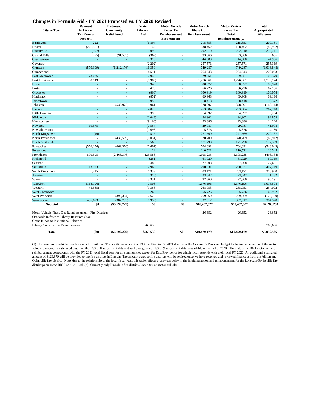| Changes in Formula Aid - FY 2021 Proposed vs. FY 2020 Revised | <b>Payment</b>    | <b>Distressed</b>        | <b>State</b> | <b>Motor Vehicle</b>     | <b>Motor Vehicle</b> | <b>Motor Vehicle</b> | <b>Total</b>      |
|---------------------------------------------------------------|-------------------|--------------------------|--------------|--------------------------|----------------------|----------------------|-------------------|
| <b>City or Town</b>                                           | In Lieu of        | Community                | Library      | <b>Excise Tax</b>        | <b>Phase Out</b>     | <b>Excise Tax</b>    | Appropriated      |
|                                                               | <b>Tax Exempt</b> | <b>Relief Fund</b>       | Aid          | Reimbursement            | Reimbursement        | <b>Total</b>         | <b>Difference</b> |
|                                                               | <b>Property</b>   |                          |              | <b>Base Amount</b>       |                      | Reimbursement $(1)$  |                   |
| <b>Barrington</b>                                             | 222               |                          | (6,894)      |                          | 215,853              | 215,853              | 209,181           |
| <b>Bristol</b>                                                | (221, 561)        |                          | 147          |                          | 138,462              | 138,462              | (82,952)          |
| Burrillville                                                  | (997)             |                          | 11,098       |                          | 202,610              | 202,610              | 212,711           |
| <b>Central Falls</b>                                          | (775)             | (91, 593)                | (362)        |                          | 93,366               | 93,366               | 636               |
| Charlestown                                                   |                   |                          | 316          |                          | 44,680               | 44,680               | 44,996            |
|                                                               |                   |                          |              |                          |                      |                      |                   |
| Coventry                                                      |                   | $\blacksquare$           | (2,202)      | $\overline{\phantom{a}}$ | 257,571              | 257,571              | 255,369           |
| Cranston<br>Cumberland                                        | (570, 309)        | (1,212,176)              | 16,350       |                          | 749,287              | 749,287              | (1,016,848)       |
|                                                               |                   |                          | 14,511       |                          | 264,543              | 264,543              | 279,053           |
| <b>East Greenwich</b>                                         | 73,076            |                          | 2,943        |                          | 29,351               | 29,351               | 105,370           |
| East Providence                                               | 8,149             |                          | (8,986)      | $\blacksquare$           | 1,776,961            | 1,776,961            | 1,776,124         |
| Exeter                                                        |                   |                          | 948          |                          | 88,972               | 88,972               | 89,920            |
| Foster                                                        |                   |                          | 470          |                          | 66,726               | 66,726               | 67,196            |
| Glocester                                                     |                   |                          | (860)        |                          | 100,919              | 100,919              | 100,058           |
| Hopkinton                                                     |                   |                          | (852)        |                          | 69,968               | 69,968               | 69,116            |
| Jamestown                                                     |                   |                          | 955          |                          | 8,418                | 8,418                | 9,372             |
| Johnston                                                      |                   | (532, 972)               | 5,961        |                          | 378,897              | 378,897              | (148, 114)        |
| Lincoln                                                       |                   |                          | 4,026        |                          | 263,684              | 263,684              | 267,710           |
| Little Compton                                                |                   |                          | 393          |                          | 4,892                | 4,892                | 5,284             |
| Middletown                                                    |                   |                          | (2,043)      |                          | 94,902               | 94,902               | 92,859            |
| Narragansett                                                  |                   |                          | (9,166)      |                          | 23,386               | 23,386               | 14,220            |
| Newport                                                       | 19,575            |                          | (7, 564)     | $\equiv$                 | 29,987               | 29,987               | 41,998            |
| New Shoreham                                                  |                   |                          | (1,696)      |                          | 5,876                | 5,876                | 4,180             |
| North Kingstown                                               | (49)              |                          | 517          |                          | 271,669              | 271,669              | 272,137           |
| North Providence                                              |                   | (433,589)                | (1,031)      |                          | 370,709              | 370,709              | (63, 912)         |
| North Smithfield                                              |                   |                          | 569          |                          | 171,790              | 171,790              | 172,359           |
| Pawtucket                                                     | (576, 156)        | (669, 376)               | (6,601)      |                          | 704,091              | 704,091              | (548, 043)        |
| Portsmouth                                                    |                   |                          | 24           |                          | 110,521              | 110,521              | 110,545           |
| Providence                                                    | 890,595           | (2,466,376)              | (25,588)     | $\blacksquare$           | 1,108,235            | 1,108,235            | (493, 134)        |
| Richmond                                                      |                   |                          | (261)        |                          | 61,029               | 61,029               | 60,769            |
| Scituate                                                      |                   |                          | 483          |                          | 27,208               | 27,208               | 27,691            |
| Smithfield                                                    | 113,923           |                          | 2,965        |                          | 290,331              | 290,331              | 407,219           |
| South Kingstown                                               | 1,415             | $\overline{\phantom{a}}$ | 6,333        | $\blacksquare$           | 203,171              | 203,171              | 210,920           |
| Tiverton                                                      |                   |                          | (2,310)      |                          | 23,542               | 23,542               | 21,232            |
| Warren                                                        |                   |                          | 3,331        |                          | 92,860               | 92,860               | 96,191            |
| Warwick                                                       | (168, 196)        |                          | 7,508        |                          | 1,176,196            | 1,176,196            | 1,015,508         |
| Westerly                                                      | (5,585)           |                          | (9,366)      |                          | 268,953              | 268,953              | 254,002           |
| West Greenwich                                                |                   |                          |              |                          |                      |                      |                   |
| West Warwick                                                  |                   |                          | 5,266        | ۰.                       | 55,726<br>269,569    | 55,726               | 60,992            |
|                                                               |                   | (398, 394)               | 2,626        |                          |                      | 269,569              | (126, 199)        |
| Woonsocket                                                    | 436,673           | (387,753)                | (1,959)      |                          | 337,617              | 337,617              | 384,578           |
| <b>Subtotal</b>                                               | \$0               | $(\$6,192,229)$          | \$0          | \$0                      | \$10,452,527         | \$10,452,527         | \$4,260,298       |
| Motor Vehicle Phase Out Reimbursement - Fire Districts        |                   |                          |              |                          | 26,652               | 26,652               | 26,652            |
| Statewide Reference Library Resource Grant                    |                   |                          |              |                          |                      |                      |                   |
| Grant-In-Aid to Institutional Libraries                       |                   |                          |              |                          |                      |                      |                   |
| <b>Library Construction Reimbursement</b>                     |                   |                          | 765,636      |                          |                      |                      | 765,636           |
| <b>Total</b>                                                  | $(\$0)$           | $(\$6,192,229)$          | \$765,636    | \$0                      | \$10,479,179         | \$10,479,179         | \$5,052,586       |

(1) The base motor vehicle distribution is \$10 million. The additional amount of \$90.6 million in FY 2021 due under the Governor's Proposed budget to the implementation of the motor vehicle phase-out is estimated based on the 12/31/18 assessment data and will change once 12/31/19 assessment data is available in the fall of 2020. The state's FY 2021 motor vehicle reimbursement corresponds with the FY 2021 local fiscal year for all communities except for East Providence for which it corresponds with their local FY 2020. An additional estimated amount of \$123,979 will be provided to the fire districts in Lincoln. The amount owed to fire districts will be revised once we have received and reviewed final data from the Albion and Quinnville fire district. Note, due to the relationship of the local fiscal year, this table reflects a one-year delay in the implementation and reimbursement for the Lonsdale/Saylesville fire district pursuant to RIGL §44-34.1-2(b)(4). Currently only Lincoln's fire districts levy a tax on motor vehicles.